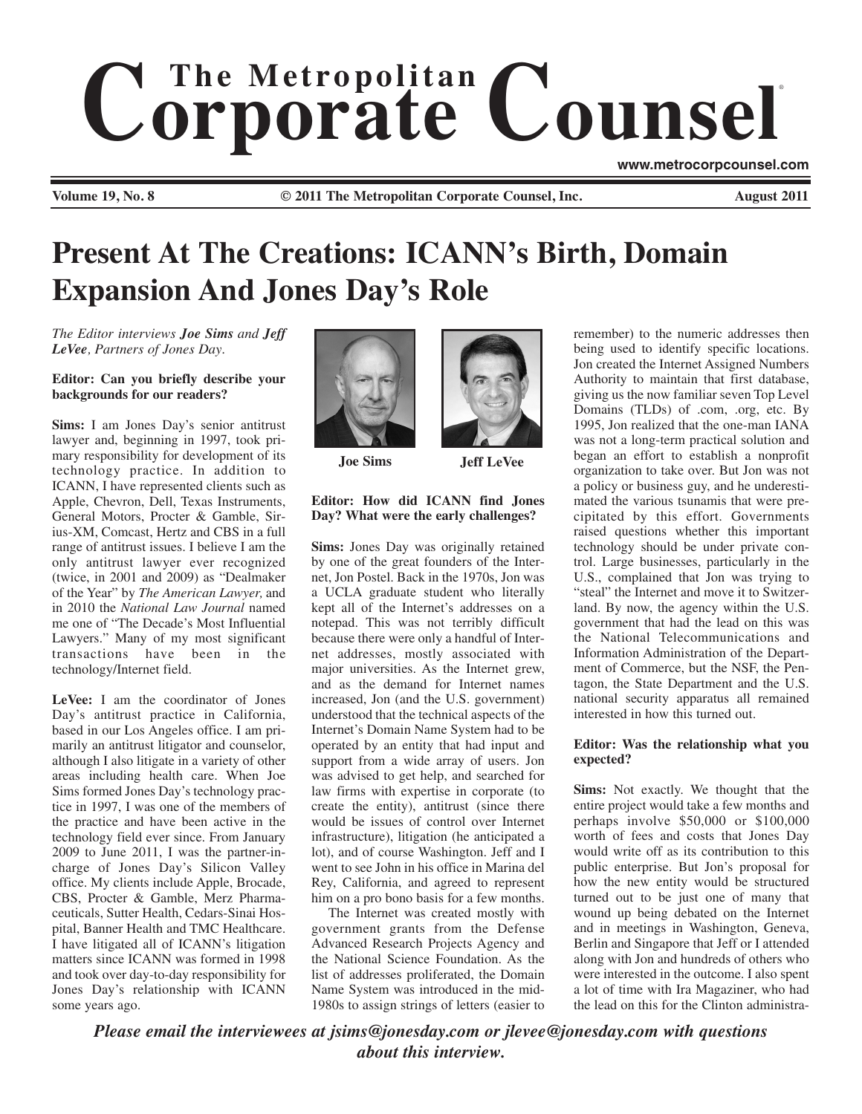# $$ ®

**Volume 19, No. 8 © 2011 The Metropolitan Corporate Counsel, Inc. August 2011**

**www.metrocorpcounsel.com**

# **Present At The Creations: ICANN's Birth, Domain Expansion And Jones Day's Role**

*The Editor interviews Joe Sims and Jeff LeVee, Partners of Jones Day.*

**Editor: Can you briefly describe your backgrounds for our readers?**

**Sims:** I am Jones Day's senior antitrust lawyer and, beginning in 1997, took primary responsibility for development of its technology practice. In addition to ICANN, I have represented clients such as Apple, Chevron, Dell, Texas Instruments, General Motors, Procter & Gamble, Sirius-XM, Comcast, Hertz and CBS in a full range of antitrust issues. I believe I am the only antitrust lawyer ever recognized (twice, in 2001 and 2009) as "Dealmaker of the Year" by *The American Lawyer,* and in 2010 the *National Law Journal* named me one of "The Decade's Most Influential Lawyers." Many of my most significant transactions have been in the technology/Internet field.

**LeVee:** I am the coordinator of Jones Day's antitrust practice in California, based in our Los Angeles office. I am primarily an antitrust litigator and counselor, although I also litigate in a variety of other areas including health care. When Joe Sims formed Jones Day's technology practice in 1997, I was one of the members of the practice and have been active in the technology field ever since. From January 2009 to June 2011, I was the partner-incharge of Jones Day's Silicon Valley office. My clients include Apple, Brocade, CBS, Procter & Gamble, Merz Pharmaceuticals, Sutter Health, Cedars-Sinai Hospital, Banner Health and TMC Healthcare. I have litigated all of ICANN's litigation matters since ICANN was formed in 1998 and took over day-to-day responsibility for Jones Day's relationship with ICANN some years ago.





**Joe Sims Jeff LeVee**

#### **Editor: How did ICANN find Jones Day? What were the early challenges?**

**Sims:** Jones Day was originally retained by one of the great founders of the Internet, Jon Postel. Back in the 1970s, Jon was a UCLA graduate student who literally kept all of the Internet's addresses on a notepad. This was not terribly difficult because there were only a handful of Internet addresses, mostly associated with major universities. As the Internet grew, and as the demand for Internet names increased, Jon (and the U.S. government) understood that the technical aspects of the Internet's Domain Name System had to be operated by an entity that had input and support from a wide array of users. Jon was advised to get help, and searched for law firms with expertise in corporate (to create the entity), antitrust (since there would be issues of control over Internet infrastructure), litigation (he anticipated a lot), and of course Washington. Jeff and I went to see John in his office in Marina del Rey, California, and agreed to represent him on a pro bono basis for a few months.

The Internet was created mostly with government grants from the Defense Advanced Research Projects Agency and the National Science Foundation. As the list of addresses proliferated, the Domain Name System was introduced in the mid-1980s to assign strings of letters (easier to

remember) to the numeric addresses then being used to identify specific locations. Jon created the Internet Assigned Numbers Authority to maintain that first database, giving us the now familiar seven Top Level Domains (TLDs) of .com, .org, etc. By 1995, Jon realized that the one-man IANA was not a long-term practical solution and began an effort to establish a nonprofit organization to take over. But Jon was not a policy or business guy, and he underestimated the various tsunamis that were precipitated by this effort. Governments raised questions whether this important technology should be under private control. Large businesses, particularly in the U.S., complained that Jon was trying to "steal" the Internet and move it to Switzerland. By now, the agency within the U.S. government that had the lead on this was the National Telecommunications and Information Administration of the Department of Commerce, but the NSF, the Pentagon, the State Department and the U.S. national security apparatus all remained interested in how this turned out.

### **Editor: Was the relationship what you expected?**

**Sims:** Not exactly. We thought that the entire project would take a few months and perhaps involve \$50,000 or \$100,000 worth of fees and costs that Jones Day would write off as its contribution to this public enterprise. But Jon's proposal for how the new entity would be structured turned out to be just one of many that wound up being debated on the Internet and in meetings in Washington, Geneva, Berlin and Singapore that Jeff or I attended along with Jon and hundreds of others who were interested in the outcome. I also spent a lot of time with Ira Magaziner, who had the lead on this for the Clinton administra-

*Please email the interviewees at jsims@jonesday.com or jlevee@jonesday.com with questions about this interview.*